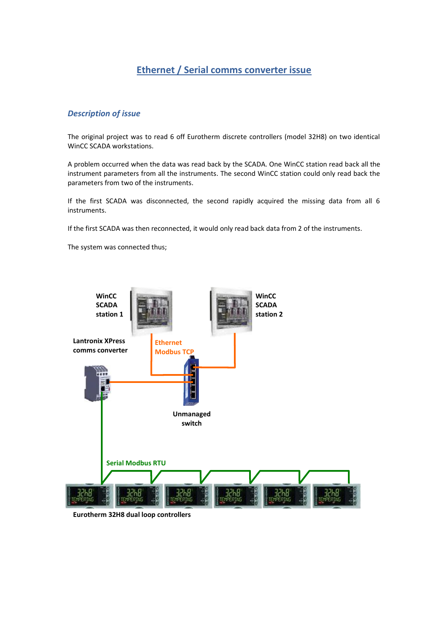## **Ethernet / Serial comms converter issue**

## *Description of issue*

The original project was to read 6 off Eurotherm discrete controllers (model 32H8) on two identical WinCC SCADA workstations.

A problem occurred when the data was read back by the SCADA. One WinCC station read back all the instrument parameters from all the instruments. The second WinCC station could only read back the parameters from two of the instruments.

If the first SCADA was disconnected, the second rapidly acquired the missing data from all 6 instruments.

If the first SCADA was then reconnected, it would only read back data from 2 of the instruments.

The system was connected thus;



**Eurotherm 32H8 dual loop controllers**